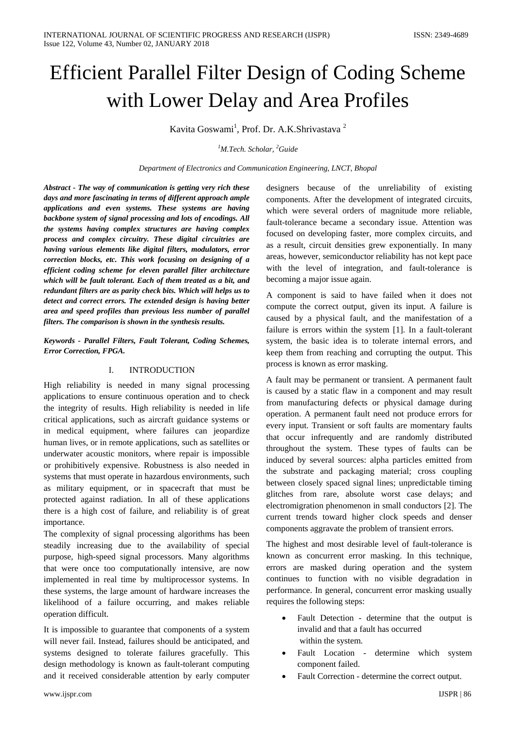# Efficient Parallel Filter Design of Coding Scheme with Lower Delay and Area Profiles

Kavita Goswami<sup>1</sup>, Prof. Dr. A.K.Shrivastava<sup>2</sup>

*1 M.Tech. Scholar, 2 Guide*

*Department of Electronics and Communication Engineering, LNCT, Bhopal*

*Abstract - The way of communication is getting very rich these days and more fascinating in terms of different approach ample applications and even systems. These systems are having backbone system of signal processing and lots of encodings. All the systems having complex structures are having complex process and complex circuitry. These digital circuitries are having various elements like digital filters, modulators, error correction blocks, etc. This work focusing on designing of a efficient coding scheme for eleven parallel filter architecture which will be fault tolerant. Each of them treated as a bit, and redundant filters are as parity check bits. Which will helps us to detect and correct errors. The extended design is having better area and speed profiles than previous less number of parallel filters. The comparison is shown in the synthesis results.*

*Keywords - Parallel Filters, Fault Tolerant, Coding Schemes, Error Correction, FPGA.*

# I. INTRODUCTION

High reliability is needed in many signal processing applications to ensure continuous operation and to check the integrity of results. High reliability is needed in life critical applications, such as aircraft guidance systems or in medical equipment, where failures can jeopardize human lives, or in remote applications, such as satellites or underwater acoustic monitors, where repair is impossible or prohibitively expensive. Robustness is also needed in systems that must operate in hazardous environments, such as military equipment, or in spacecraft that must be protected against radiation. In all of these applications there is a high cost of failure, and reliability is of great importance.

The complexity of signal processing algorithms has been steadily increasing due to the availability of special purpose, high-speed signal processors. Many algorithms that were once too computationally intensive, are now implemented in real time by multiprocessor systems. In these systems, the large amount of hardware increases the likelihood of a failure occurring, and makes reliable operation difficult.

It is impossible to guarantee that components of a system will never fail. Instead, failures should be anticipated, and systems designed to tolerate failures gracefully. This design methodology is known as fault-tolerant computing and it received considerable attention by early computer

designers because of the unreliability of existing components. After the development of integrated circuits, which were several orders of magnitude more reliable, fault-tolerance became a secondary issue. Attention was focused on developing faster, more complex circuits, and as a result, circuit densities grew exponentially. In many areas, however, semiconductor reliability has not kept pace with the level of integration, and fault-tolerance is becoming a major issue again.

A component is said to have failed when it does not compute the correct output, given its input. A failure is caused by a physical fault, and the manifestation of a failure is errors within the system [1]. In a fault-tolerant system, the basic idea is to tolerate internal errors, and keep them from reaching and corrupting the output. This process is known as error masking.

A fault may be permanent or transient. A permanent fault is caused by a static flaw in a component and may result from manufacturing defects or physical damage during operation. A permanent fault need not produce errors for every input. Transient or soft faults are momentary faults that occur infrequently and are randomly distributed throughout the system. These types of faults can be induced by several sources: alpha particles emitted from the substrate and packaging material; cross coupling between closely spaced signal lines; unpredictable timing glitches from rare, absolute worst case delays; and electromigration phenomenon in small conductors [2]. The current trends toward higher clock speeds and denser components aggravate the problem of transient errors.

The highest and most desirable level of fault-tolerance is known as concurrent error masking. In this technique, errors are masked during operation and the system continues to function with no visible degradation in performance. In general, concurrent error masking usually requires the following steps:

- Fault Detection determine that the output is invalid and that a fault has occurred within the system.
- Fault Location determine which system component failed.
- Fault Correction determine the correct output.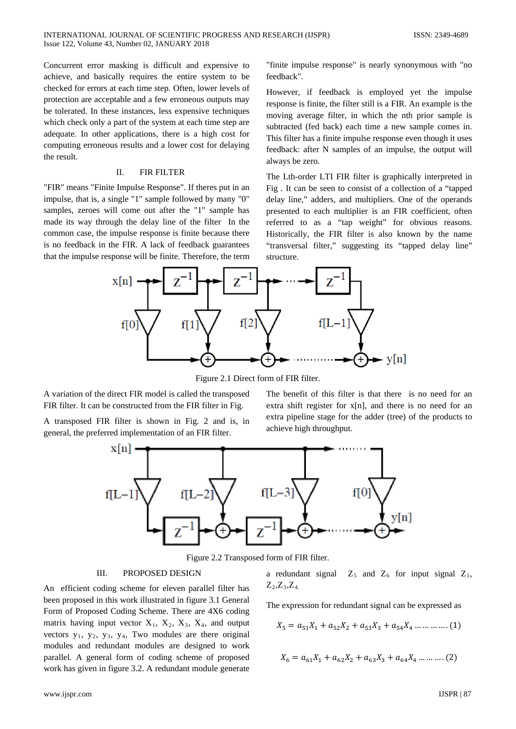Concurrent error masking is difficult and expensive to achieve, and basically requires the entire system to be checked for errors at each time step. Often, lower levels of protection are acceptable and a few erroneous outputs may be tolerated. In these instances, less expensive techniques which check only a part of the system at each time step are adequate. In other applications, there is a high cost for computing erroneous results and a lower cost for delaying the result.

#### II. FIR FILTER

"FIR" means "Finite Impulse Response". If theres put in an impulse, that is, a single "1" sample followed by many "0" samples, zeroes will come out after the "1" sample has made its way through the delay line of the filter In the common case, the impulse response is finite because there is no feedback in the FIR. A lack of feedback guarantees that the impulse response will be finite. Therefore, the term "finite impulse response" is nearly synonymous with "no feedback".

However, if feedback is employed yet the impulse response is finite, the filter still is a FIR. An example is the moving average filter, in which the nth prior sample is subtracted (fed back) each time a new sample comes in. This filter has a finite impulse response even though it uses feedback: after N samples of an impulse, the output will always be zero.

The Lth-order LTI FIR filter is graphically interpreted in Fig . It can be seen to consist of a collection of a "tapped delay line," adders, and multipliers. One of the operands presented to each multiplier is an FIR coefficient, often referred to as a "tap weight" for obvious reasons. Historically, the FIR filter is also known by the name "transversal filter," suggesting its "tapped delay line" structure.



Figure 2.1 Direct form of FIR filter.

A variation of the direct FIR model is called the transposed FIR filter. It can be constructed from the FIR filter in Fig.

A transposed FIR filter is shown in Fig. 2 and is, in general, the preferred implementation of an FIR filter.

The benefit of this filter is that there is no need for an extra shift register for x[n], and there is no need for an extra pipeline stage for the adder (tree) of the products to achieve high throughput.



Figure 2.2 Transposed form of FIR filter.

# III. PROPOSED DESIGN

An efficient coding scheme for eleven parallel filter has been proposed in this work illustrated in figure 3.1 General Form of Proposed Coding Scheme. There are 4X6 coding matrix having input vector  $X_1$ ,  $X_2$ ,  $X_3$ ,  $X_4$ , and output vectors  $y_1$ ,  $y_2$ ,  $y_3$ ,  $y_4$ , Two modules are there original modules and redundant modules are designed to work parallel. A general form of coding scheme of proposed work has given in figure 3.2. A redundant module generate

a redundant signal  $Z_5$  and  $Z_6$  for input signal  $Z_1$ ,  $Z_2, Z_3, Z_4$ 

The expression for redundant signal can be expressed as

$$
X_5 = a_{51}X_1 + a_{52}X_2 + a_{53}X_3 + a_{54}X_4 \dots \dots \dots \dots (1)
$$

$$
X_6 = a_{61}X_1 + a_{62}X_2 + a_{63}X_3 + a_{64}X_4 \dots \dots \dots (2)
$$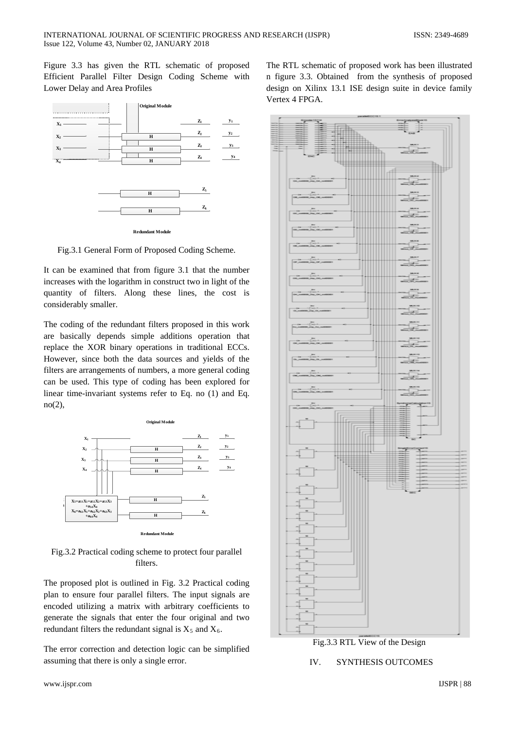Figure 3.3 has given the RTL schematic of proposed Efficient Parallel Filter Design Coding Scheme with Lower Delay and Area Profiles



**Redundant Module**

Fig.3.1 General Form of Proposed Coding Scheme.

It can be examined that from figure 3.1 that the number increases with the logarithm in construct two in light of the quantity of filters. Along these lines, the cost is considerably smaller.

The coding of the redundant filters proposed in this work are basically depends simple additions operation that replace the XOR binary operations in traditional ECCs. However, since both the data sources and yields of the filters are arrangements of numbers, a more general coding can be used. This type of coding has been explored for linear time-invariant systems refer to Eq. no (1) and Eq. no(2),



Fig.3.2 Practical coding scheme to protect four parallel filters.

The proposed plot is outlined in Fig. 3.2 Practical coding plan to ensure four parallel filters. The input signals are encoded utilizing a matrix with arbitrary coefficients to generate the signals that enter the four original and two redundant filters the redundant signal is  $X_5$  and  $X_6$ .

The error correction and detection logic can be simplified assuming that there is only a single error.

Fig.3.3 RTL View of the Design IV. SYNTHESIS OUTCOMES

The RTL schematic of proposed work has been illustrated n figure 3.3. Obtained from the synthesis of proposed design on Xilinx 13.1 ISE design suite in device family Vertex 4 FPGA.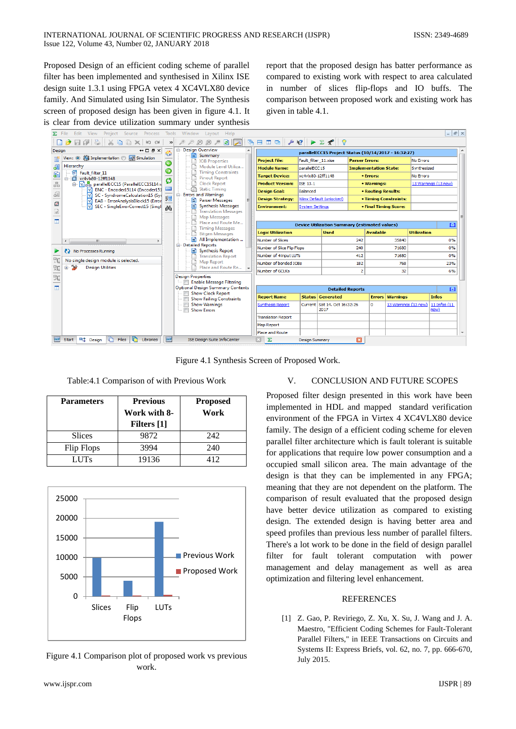Proposed Design of an efficient coding scheme of parallel filter has been implemented and synthesised in Xilinx ISE design suite 1.3.1 using FPGA vetex 4 XC4VLX80 device family. And Simulated using Isin Simulator. The Synthesis screen of proposed design has been given in figure 4.1. It is clear from device utilization summary under synthesis

report that the proposed design has batter performance as compared to existing work with respect to area calculated in number of slices flip-flops and IO buffs. The comparison between proposed work and existing work has given in table 4.1.



Figure 4.1 Synthesis Screen of Proposed Work.

Table:4.1 Comparison of with Previous Work

| <b>Parameters</b> | <b>Previous</b><br>Work with 8-<br><b>Filters</b> [1] | <b>Proposed</b><br>Work |
|-------------------|-------------------------------------------------------|-------------------------|
| <b>Slices</b>     | 9872                                                  | 242                     |
| Flip Flops        | 3994                                                  | 240                     |
| <b>LUTs</b>       | 19136                                                 | 412                     |



Figure 4.1 Comparison plot of proposed work vs previous work.

## V. CONCLUSION AND FUTURE SCOPES

Proposed filter design presented in this work have been implemented in HDL and mapped standard verification environment of the FPGA in Virtex 4 XC4VLX80 device family. The design of a efficient coding scheme for eleven parallel filter architecture which is fault tolerant is suitable for applications that require low power consumption and a occupied small silicon area. The main advantage of the design is that they can be implemented in any FPGA; meaning that they are not dependent on the platform. The comparison of result evaluated that the proposed design have better device utilization as compared to existing design. The extended design is having better area and speed profiles than previous less number of parallel filters. There's a lot work to be done in the field of design parallel filter for fault tolerant computation with power management and delay management as well as area optimization and filtering level enhancement.

## **REFERENCES**

[1] Z. Gao, P. Reviriego, Z. Xu, X. Su, J. Wang and J. A. Maestro, "Efficient Coding Schemes for Fault-Tolerant Parallel Filters," in IEEE Transactions on Circuits and Systems II: Express Briefs, vol. 62, no. 7, pp. 666-670, July 2015.